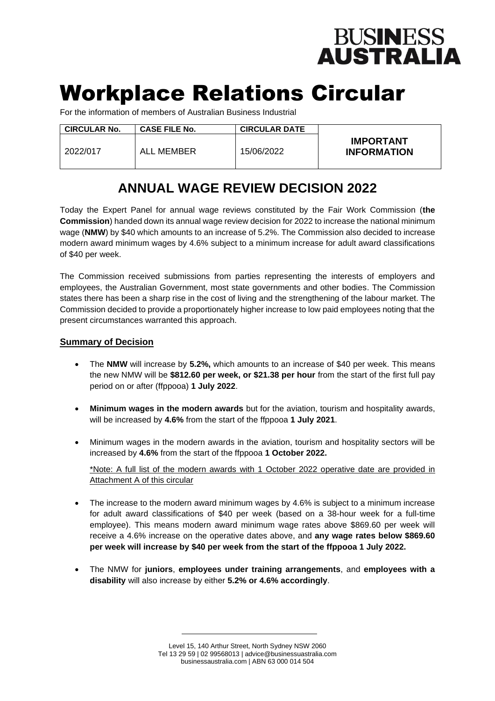# **BUSINESS<br>AUSTRALIA**

# Workplace Relations Circular

For the information of members of Australian Business Industrial

| <b>CIRCULAR No.</b> | <b>CASE FILE No.</b> | <b>CIRCULAR DATE</b> |                                        |
|---------------------|----------------------|----------------------|----------------------------------------|
| 2022/017            | ALL MEMBER           | 15/06/2022           | <b>IMPORTANT</b><br><b>INFORMATION</b> |

### **ANNUAL WAGE REVIEW DECISION 2022**

Today the Expert Panel for annual wage reviews constituted by the Fair Work Commission (**the Commission**) handed down its annual wage review decision for 2022 to increase the national minimum wage (**NMW**) by \$40 which amounts to an increase of 5.2%. The Commission also decided to increase modern award minimum wages by 4.6% subject to a minimum increase for adult award classifications of \$40 per week.

The Commission received submissions from parties representing the interests of employers and employees, the Australian Government, most state governments and other bodies. The Commission states there has been a sharp rise in the cost of living and the strengthening of the labour market. The Commission decided to provide a proportionately higher increase to low paid employees noting that the present circumstances warranted this approach.

#### **Summary of Decision**

- The **NMW** will increase by **5.2%,** which amounts to an increase of \$40 per week. This means the new NMW will be **\$812.60 per week, or \$21.38 per hour** from the start of the first full pay period on or after (ffppooa) **1 July 2022**.
- **Minimum wages in the modern awards** but for the aviation, tourism and hospitality awards, will be increased by **4.6%** from the start of the ffppooa **1 July 2021**.
- Minimum wages in the modern awards in the aviation, tourism and hospitality sectors will be increased by **4.6%** from the start of the ffppooa **1 October 2022.**

\*Note: A full list of the modern awards with 1 October 2022 operative date are provided in Attachment A of this circular

- The increase to the modern award minimum wages by 4.6% is subject to a minimum increase for adult award classifications of \$40 per week (based on a 38-hour week for a full-time employee). This means modern award minimum wage rates above \$869.60 per week will receive a 4.6% increase on the operative dates above, and **any wage rates below \$869.60 per week will increase by \$40 per week from the start of the ffppooa 1 July 2022.**
- The NMW for **juniors**, **employees under training arrangements**, and **employees with a disability** will also increase by either **5.2% or 4.6% accordingly**.

Level 15, 140 Arthur Street, North Sydney NSW 2060 Tel 13 29 59 | 02 99568013 | advice@businessuastralia.com businessaustralia.com | ABN 63 000 014 504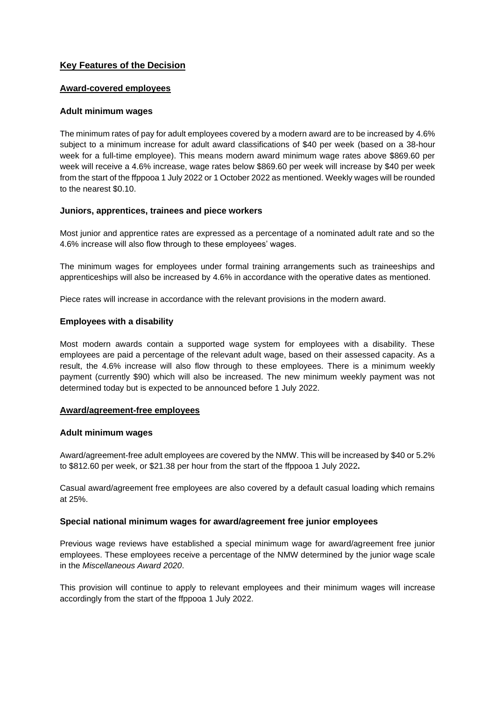#### **Key Features of the Decision**

#### **Award-covered employees**

#### **Adult minimum wages**

The minimum rates of pay for adult employees covered by a modern award are to be increased by 4.6% subject to a minimum increase for adult award classifications of \$40 per week (based on a 38-hour week for a full-time employee). This means modern award minimum wage rates above \$869.60 per week will receive a 4.6% increase, wage rates below \$869.60 per week will increase by \$40 per week from the start of the ffppooa 1 July 2022 or 1 October 2022 as mentioned. Weekly wages will be rounded to the nearest \$0.10.

#### **Juniors, apprentices, trainees and piece workers**

Most junior and apprentice rates are expressed as a percentage of a nominated adult rate and so the 4.6% increase will also flow through to these employees' wages.

The minimum wages for employees under formal training arrangements such as traineeships and apprenticeships will also be increased by 4.6% in accordance with the operative dates as mentioned.

Piece rates will increase in accordance with the relevant provisions in the modern award.

#### **Employees with a disability**

Most modern awards contain a supported wage system for employees with a disability. These employees are paid a percentage of the relevant adult wage, based on their assessed capacity. As a result, the 4.6% increase will also flow through to these employees. There is a minimum weekly payment (currently \$90) which will also be increased. The new minimum weekly payment was not determined today but is expected to be announced before 1 July 2022.

#### **Award/agreement-free employees**

#### **Adult minimum wages**

Award/agreement-free adult employees are covered by the NMW. This will be increased by \$40 or 5.2% to \$812.60 per week, or \$21.38 per hour from the start of the ffppooa 1 July 2022**.**

Casual award/agreement free employees are also covered by a default casual loading which remains at 25%.

#### **Special national minimum wages for award/agreement free junior employees**

Previous wage reviews have established a special minimum wage for award/agreement free junior employees. These employees receive a percentage of the NMW determined by the junior wage scale in the *Miscellaneous Award 2020*.

This provision will continue to apply to relevant employees and their minimum wages will increase accordingly from the start of the ffppooa 1 July 2022.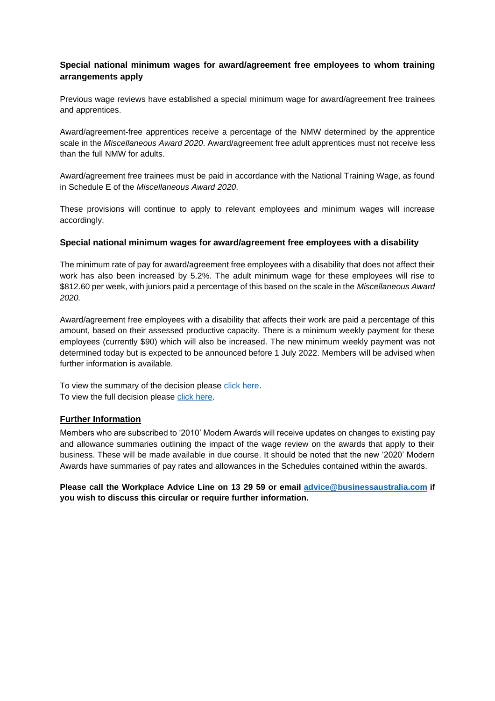#### **Special national minimum wages for award/agreement free employees to whom training arrangements apply**

Previous wage reviews have established a special minimum wage for award/agreement free trainees and apprentices.

Award/agreement-free apprentices receive a percentage of the NMW determined by the apprentice scale in the *Miscellaneous Award 2020*. Award/agreement free adult apprentices must not receive less than the full NMW for adults.

Award/agreement free trainees must be paid in accordance with the National Training Wage, as found in Schedule E of the *Miscellaneous Award 2020*.

These provisions will continue to apply to relevant employees and minimum wages will increase accordingly.

#### **Special national minimum wages for award/agreement free employees with a disability**

The minimum rate of pay for award/agreement free employees with a disability that does not affect their work has also been increased by 5.2%. The adult minimum wage for these employees will rise to \$812.60 per week, with juniors paid a percentage of this based on the scale in the *Miscellaneous Award 2020.*

Award/agreement free employees with a disability that affects their work are paid a percentage of this amount, based on their assessed productive capacity. There is a minimum weekly payment for these employees (currently \$90) which will also be increased. The new minimum weekly payment was not determined today but is expected to be announced before 1 July 2022. Members will be advised when further information is available.

To view the summary of the decision please [click here.](https://www.fwc.gov.au/documents/wage-reviews/2021-22/decisions/2022-fwc-3501-summary.pdf) To view the full decision please [click here.](https://www.fwc.gov.au/documents/wage-reviews/2021-22/decisions/2022-fwcfb-3500-decision.pdf)

#### **Further Information**

Members who are subscribed to '2010' Modern Awards will receive updates on changes to existing pay and allowance summaries outlining the impact of the wage review on the awards that apply to their business. These will be made available in due course. It should be noted that the new '2020' Modern Awards have summaries of pay rates and allowances in the Schedules contained within the awards.

**Please call the Workplace Advice Line on 13 29 59 or email [advice@b](mailto:advice@)usinessaustralia.com if you wish to discuss this circular or require further information.**